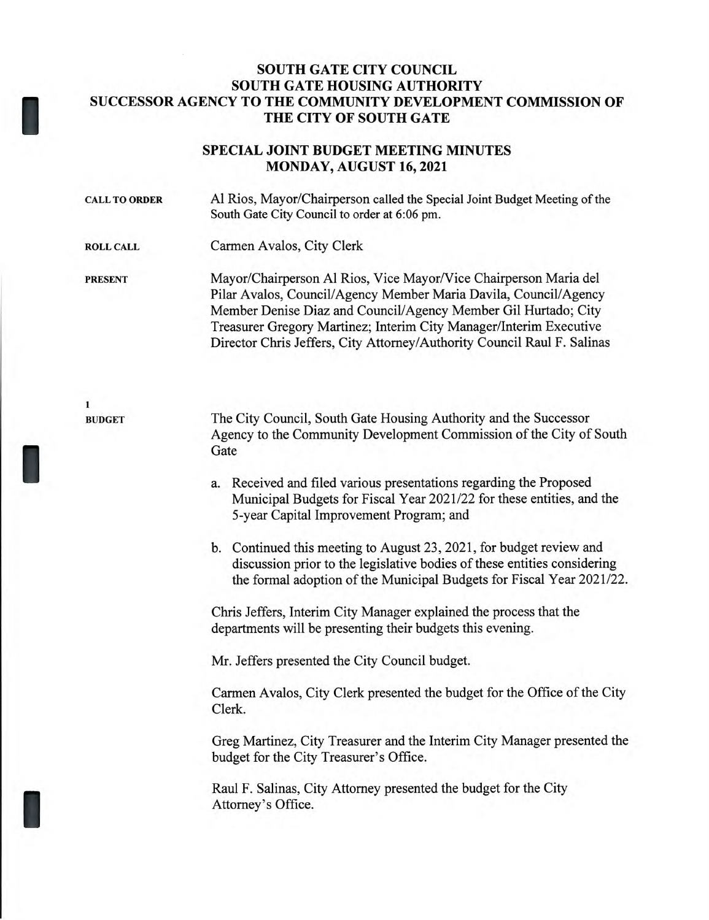## **SOUTH GATE CITY COUNCIL SOUTH GATE HOUSING AUTHORITY SUCCESSOR AGENCY TO THE COMMUNITY DEVELOPMENT COMMISSION OF THE CITY OF SOUTH GATE**

# **SPECIAL JOINT BUDGET MEETING MINUTES MONDAY, AUGUST 16, 2021**

| <b>CALL TO ORDER</b> | Al Rios, Mayor/Chairperson called the Special Joint Budget Meeting of the<br>South Gate City Council to order at 6:06 pm.                                                                                                                                                                                                                               |
|----------------------|---------------------------------------------------------------------------------------------------------------------------------------------------------------------------------------------------------------------------------------------------------------------------------------------------------------------------------------------------------|
| <b>ROLL CALL</b>     | Carmen Avalos, City Clerk                                                                                                                                                                                                                                                                                                                               |
| <b>PRESENT</b>       | Mayor/Chairperson Al Rios, Vice Mayor/Vice Chairperson Maria del<br>Pilar Avalos, Council/Agency Member Maria Davila, Council/Agency<br>Member Denise Diaz and Council/Agency Member Gil Hurtado; City<br>Treasurer Gregory Martinez; Interim City Manager/Interim Executive<br>Director Chris Jeffers, City Attorney/Authority Council Raul F. Salinas |
| 1                    |                                                                                                                                                                                                                                                                                                                                                         |
| <b>BUDGET</b>        | The City Council, South Gate Housing Authority and the Successor<br>Agency to the Community Development Commission of the City of South<br>Gate                                                                                                                                                                                                         |
|                      | a. Received and filed various presentations regarding the Proposed<br>Municipal Budgets for Fiscal Year 2021/22 for these entities, and the<br>5-year Capital Improvement Program; and                                                                                                                                                                  |
|                      | b. Continued this meeting to August 23, 2021, for budget review and<br>discussion prior to the legislative bodies of these entities considering<br>the formal adoption of the Municipal Budgets for Fiscal Year 2021/22.                                                                                                                                |
|                      | Chris Jeffers, Interim City Manager explained the process that the<br>departments will be presenting their budgets this evening.                                                                                                                                                                                                                        |
|                      | Mr. Jeffers presented the City Council budget.                                                                                                                                                                                                                                                                                                          |
|                      | Carmen Avalos, City Clerk presented the budget for the Office of the City<br>Clerk.                                                                                                                                                                                                                                                                     |
|                      | Greg Martinez, City Treasurer and the Interim City Manager presented the<br>budget for the City Treasurer's Office.                                                                                                                                                                                                                                     |
|                      | Raul F. Salinas, City Attorney presented the budget for the City<br>Attorney's Office.                                                                                                                                                                                                                                                                  |

I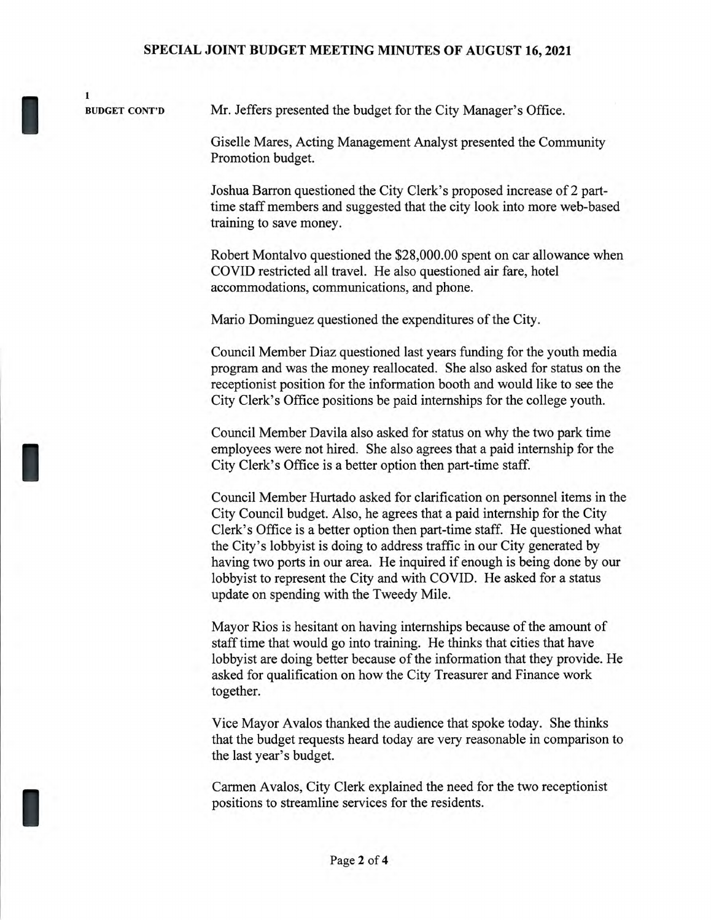#### SPECIAL JOINT BUDGET MEETING MINUTES OF AUGUST 16, 2021

**BUDGET CONT'D** 

**1** 

I

Mr. Jeffers presented the budget for the City Manager's Office.

Giselle Mares, Acting Management Analyst presented the Community Promotion budget.

Joshua Barron questioned the City Clerk's proposed increase of 2 parttime staff members and suggested that the city look into more web-based training to save money.

Robert Montalvo questioned the \$28,000.00 spent on car allowance when COVID restricted all travel. He also questioned air fare, hotel accommodations, communications, and phone.

Mario Dominguez questioned the expenditures of the City.

Council Member Diaz questioned last years funding for the youth media program and was the money reallocated. She also asked for status on the receptionist position for the information booth and would like to see the City Clerk's Office positions be paid internships for the college youth.

Council Member Davila also asked for status on why the two park time employees were not hired. She also agrees that a paid internship for the City Clerk's Office is a better option then part-time staff.

Council Member Hurtado asked for clarification on personnel items in the City Council budget. Also, he agrees that a paid internship for the City Clerk's Office is a better option then part-time staff. He questioned what the City's lobbyist is doing to address traffic in our City generated by having two ports in our area. He inquired if enough is being done by our lobbyist to represent the City and with COVID. He asked for a status update on spending with the Tweedy Mile.

Mayor Rios is hesitant on having internships because of the amount of staff time that would go into training. He thinks that cities that have lobbyist are doing better because of the information that they provide. He asked for qualification on how the City Treasurer and Finance work together.

Vice Mayor Avalos thanked the audience that spoke today. She thinks that the budget requests heard today are very reasonable in comparison to the last year's budget.

Carmen Avalos, City Clerk explained the need for the two receptionist positions to streamline services for the residents.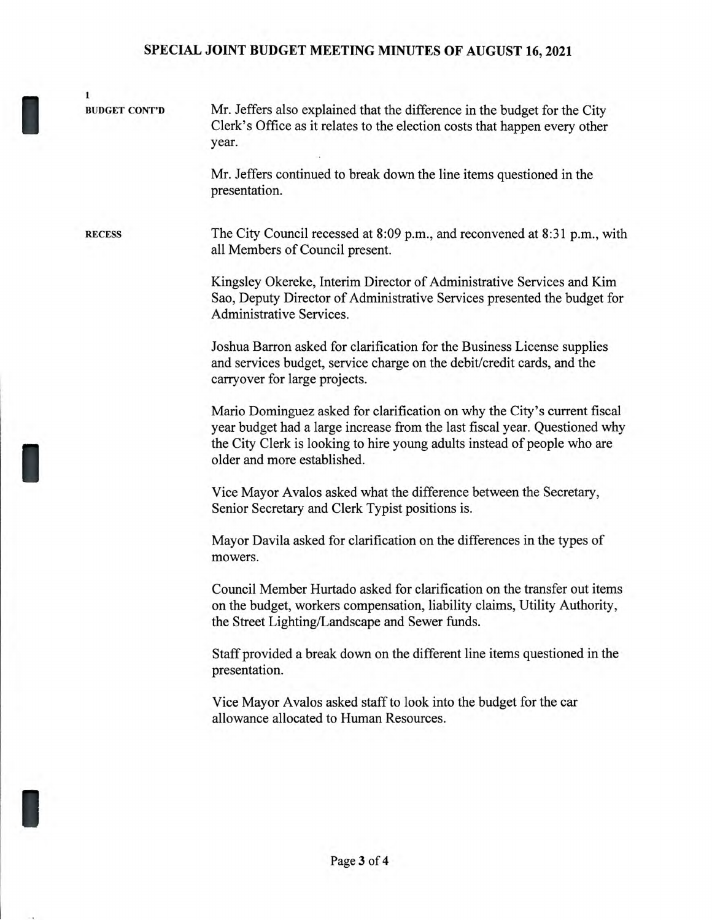### **SPECIAL JOINT BUDGET MEETING MINUTES OF AUGUST 16, 2021**

1 BUDGET CONT'D Mr. Jeffers also explained that the difference in the budget for the City Clerk's Office as it relates to the election costs that happen every other year. Mr. Jeffers continued to break down the line items questioned in the presentation. RECESS The City Council recessed at 8:09 p.m., and reconvened at 8:31 p.m., with all Members of Council present. Kingsley Okereke, Interim Director of Administrative Services and Kim Sao, Deputy Director of Administrative Services presented the budget for Administrative Services. Joshua Barron asked for clarification for the Business License supplies and services budget, service charge on the debit/credit cards, and the carryover for large projects. Mario Dominguez asked for clarification on why the City's current fiscal year budget had a large increase from the last fiscal year. Questioned why the City Clerk is looking to hire young adults instead of people who are older and more established. Vice Mayor Avalos asked what the difference between the Secretary, Senior Secretary and Clerk Typist positions is. Mayor Davila asked for clarification on the differences in the types of mowers. Council Member Hurtado asked for clarification on the transfer out items on the budget, workers compensation, liability claims, Utility Authority, the Street Lighting/Landscape and Sewer funds. Staff provided a break down on the different line items questioned in the presentation. Vice Mayor Avalos asked staff to look into the budget for the car allowance allocated to Human Resources.